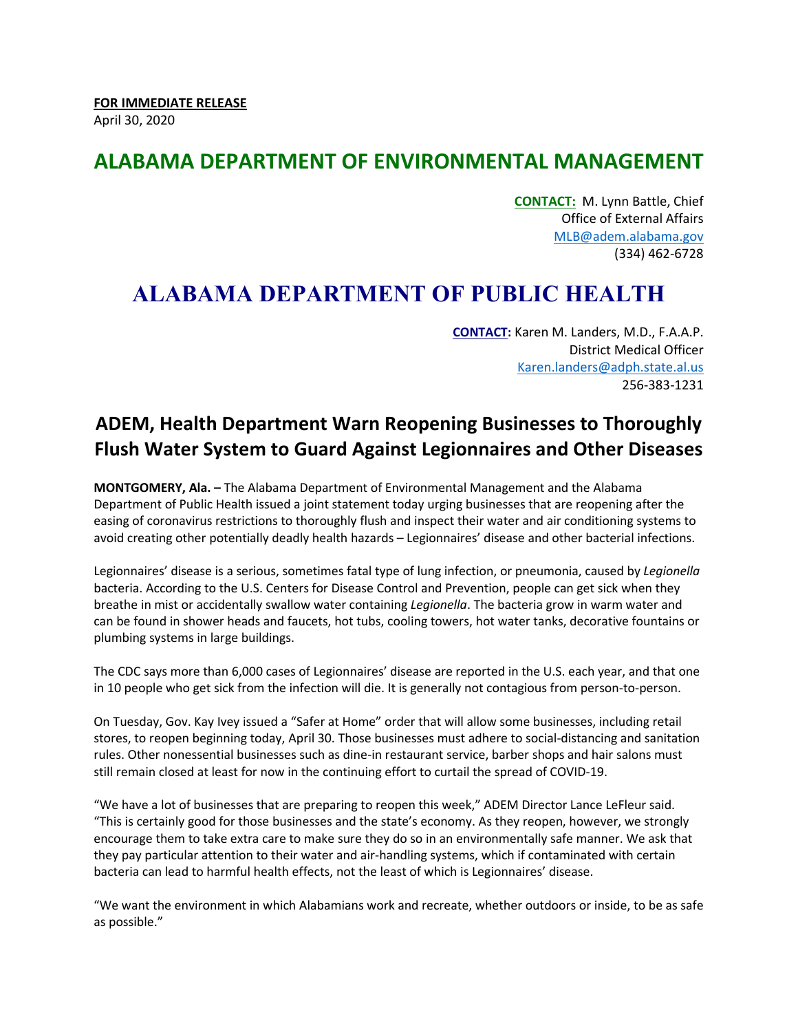## **ALABAMA DEPARTMENT OF ENVIRONMENTAL MANAGEMENT**

**CONTACT:** M. Lynn Battle, Chief Office of External Affairs [MLB@adem.alabama.gov](mailto:MLB@adem.alabama.gov) (334) 462-6728

## **ALABAMA DEPARTMENT OF PUBLIC HEALTH**

**CONTACT:** Karen M. Landers, M.D., F.A.A.P. District Medical Officer [Karen.landers@adph.state.al.us](mailto:Karen.landers@adph.state.al.us) 256-383-1231

## **ADEM, Health Department Warn Reopening Businesses to Thoroughly Flush Water System to Guard Against Legionnaires and Other Diseases**

**MONTGOMERY, Ala. –** The Alabama Department of Environmental Management and the Alabama Department of Public Health issued a joint statement today urging businesses that are reopening after the easing of coronavirus restrictions to thoroughly flush and inspect their water and air conditioning systems to avoid creating other potentially deadly health hazards – Legionnaires' disease and other bacterial infections.

Legionnaires' disease is a serious, sometimes fatal type of lung infection, or pneumonia, caused by *Legionella* bacteria. According to the U.S. Centers for Disease Control and Prevention, people can get sick when they breathe in mist or accidentally swallow water containing *Legionella*. The bacteria grow in warm water and can be found in shower heads and faucets, hot tubs, cooling towers, hot water tanks, decorative fountains or plumbing systems in large buildings.

The CDC says more than 6,000 cases of Legionnaires' disease are reported in the U.S. each year, and that one in 10 people who get sick from the infection will die. It is generally not contagious from person-to-person.

On Tuesday, Gov. Kay Ivey issued a "Safer at Home" order that will allow some businesses, including retail stores, to reopen beginning today, April 30. Those businesses must adhere to social-distancing and sanitation rules. Other nonessential businesses such as dine-in restaurant service, barber shops and hair salons must still remain closed at least for now in the continuing effort to curtail the spread of COVID-19.

"We have a lot of businesses that are preparing to reopen this week," ADEM Director Lance LeFleur said. "This is certainly good for those businesses and the state's economy. As they reopen, however, we strongly encourage them to take extra care to make sure they do so in an environmentally safe manner. We ask that they pay particular attention to their water and air-handling systems, which if contaminated with certain bacteria can lead to harmful health effects, not the least of which is Legionnaires' disease.

"We want the environment in which Alabamians work and recreate, whether outdoors or inside, to be as safe as possible."